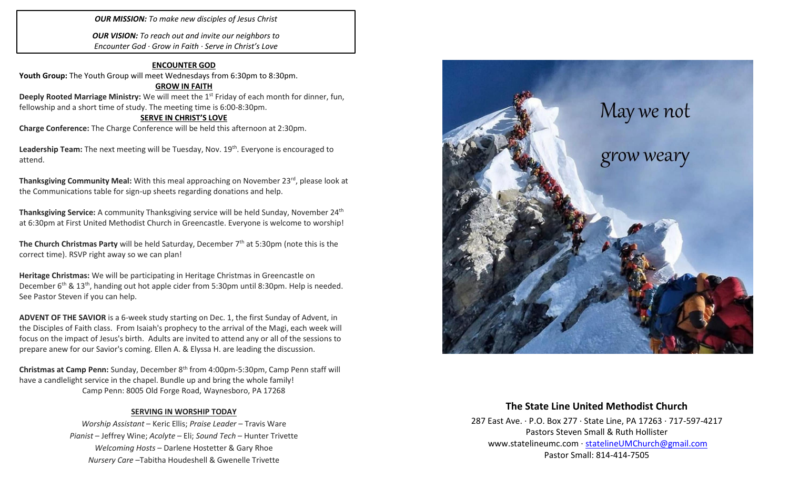### *OUR MISSION: To make new disciples of Jesus Christ*

*OUR VISION: To reach out and invite our neighbors to Encounter God · Grow in Faith · Serve in Christ's Love*

#### **ENCOUNTER GOD**

Youth Group: The Youth Group will meet Wednesdays from 6:30pm to 8:30pm.

#### **GROW IN FAITH**

**Deeply Rooted Marriage Ministry:** We will meet the 1<sup>st</sup> Friday of each month for dinner, fun, fellowship and a short time of study. The meeting time is 6:00-8:30pm.

#### **SERVE IN CHRIST'S LOVE**

**Charge Conference:** The Charge Conference will be held this afternoon at 2:30pm.

Leadership Team: The next meeting will be Tuesday, Nov. 19<sup>th</sup>. Everyone is encouraged to attend.

**Thanksgiving Community Meal:** With this meal approaching on November 23<sup>rd</sup>, please look at the Communications table for sign-up sheets regarding donations and help.

**Thanksgiving Service:** A community Thanksgiving service will be held Sunday, November 24<sup>th</sup> at 6:30pm at First United Methodist Church in Greencastle. Everyone is welcome to worship!

**The Church Christmas Party** will be held Saturday, December 7<sup>th</sup> at 5:30pm (note this is the correct time). RSVP right away so we can plan!

**Heritage Christmas:** We will be participating in Heritage Christmas in Greencastle on December 6<sup>th</sup> & 13<sup>th</sup>, handing out hot apple cider from 5:30pm until 8:30pm. Help is needed. See Pastor Steven if you can help.

**ADVENT OF THE SAVIOR** is a 6-week study starting on Dec. 1, the first Sunday of Advent, in the Disciples of Faith class. From Isaiah's prophecy to the arrival of the Magi, each week will focus on the impact of Jesus's birth. Adults are invited to attend any or all of the sessions to prepare anew for our Savior's coming. Ellen A. & Elyssa H. are leading the discussion.

**Christmas at Camp Penn:** Sunday, December 8th from 4:00pm-5:30pm, Camp Penn staff will have a candlelight service in the chapel. Bundle up and bring the whole family! Camp Penn: 8005 Old Forge Road, Waynesboro, PA 17268

#### **SERVING IN WORSHIP TODAY**

*Worship Assistant* – Keric Ellis; *Praise Leader* – Travis Ware *Pianist* – Jeffrey Wine; *Acolyte* – Eli; *Sound Tech* – Hunter Trivette *Welcoming Hosts* – Darlene Hostetter & Gary Rhoe *Nursery Care* –Tabitha Houdeshell & Gwenelle Trivette



### **The State Line United Methodist Church**

287 East Ave. · P.O. Box 277 · State Line, PA 17263 · 717-597-4217 Pastors Steven Small & Ruth Hollister [www.statelineumc.com](http://www.statelineumc.com/) · [statelineUMChurch@gmail.com](mailto:statelineUMChurch@gmail.com) Pastor Small: 814-414-7505